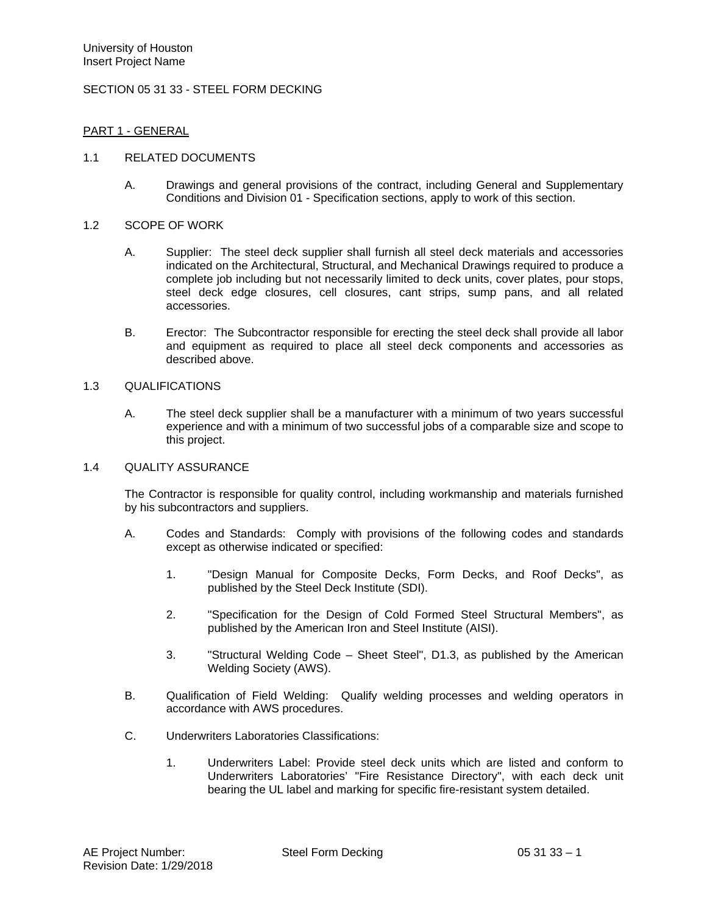## SECTION 05 31 33 - STEEL FORM DECKING

### PART 1 - GENERAL

#### 1.1 RELATED DOCUMENTS

A. Drawings and general provisions of the contract, including General and Supplementary Conditions and Division 01 - Specification sections, apply to work of this section.

#### 1.2 SCOPE OF WORK

- A. Supplier: The steel deck supplier shall furnish all steel deck materials and accessories indicated on the Architectural, Structural, and Mechanical Drawings required to produce a complete job including but not necessarily limited to deck units, cover plates, pour stops, steel deck edge closures, cell closures, cant strips, sump pans, and all related accessories.
- B. Erector: The Subcontractor responsible for erecting the steel deck shall provide all labor and equipment as required to place all steel deck components and accessories as described above.

### 1.3 QUALIFICATIONS

A. The steel deck supplier shall be a manufacturer with a minimum of two years successful experience and with a minimum of two successful jobs of a comparable size and scope to this project.

#### 1.4 QUALITY ASSURANCE

The Contractor is responsible for quality control, including workmanship and materials furnished by his subcontractors and suppliers.

- A. Codes and Standards: Comply with provisions of the following codes and standards except as otherwise indicated or specified:
	- 1. "Design Manual for Composite Decks, Form Decks, and Roof Decks", as published by the Steel Deck Institute (SDI).
	- 2. "Specification for the Design of Cold Formed Steel Structural Members", as published by the American Iron and Steel Institute (AISI).
	- 3. "Structural Welding Code Sheet Steel", D1.3, as published by the American Welding Society (AWS).
- B. Qualification of Field Welding: Qualify welding processes and welding operators in accordance with AWS procedures.
- C. Underwriters Laboratories Classifications:
	- 1. Underwriters Label: Provide steel deck units which are listed and conform to Underwriters Laboratories' "Fire Resistance Directory", with each deck unit bearing the UL label and marking for specific fire-resistant system detailed.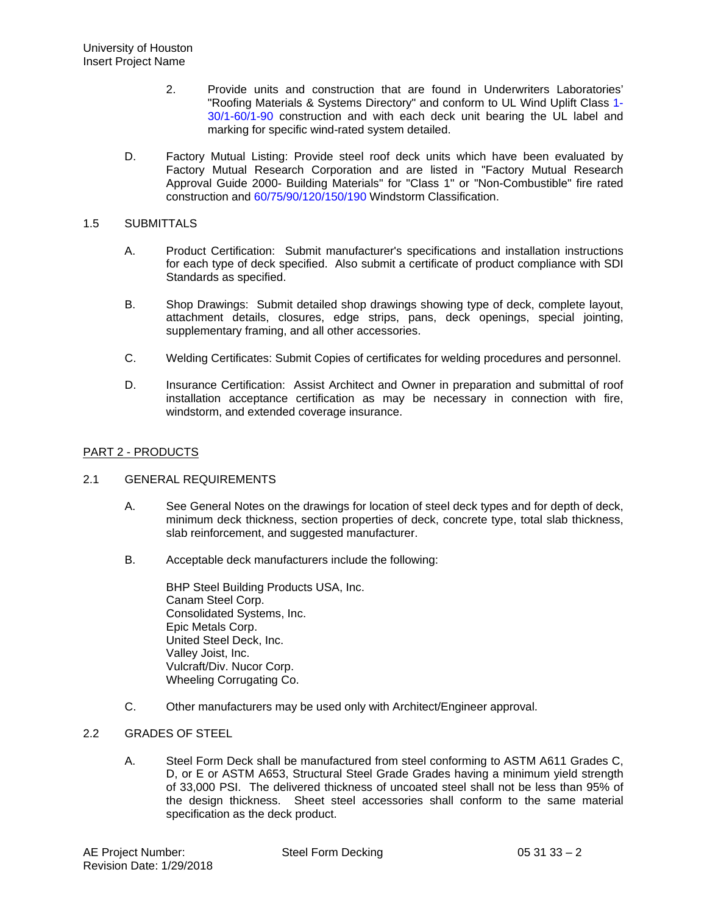- 2. Provide units and construction that are found in Underwriters Laboratories' "Roofing Materials & Systems Directory" and conform to UL Wind Uplift Class 1- 30/1-60/1-90 construction and with each deck unit bearing the UL label and marking for specific wind-rated system detailed.
- D. Factory Mutual Listing: Provide steel roof deck units which have been evaluated by Factory Mutual Research Corporation and are listed in "Factory Mutual Research Approval Guide 2000- Building Materials" for "Class 1" or "Non-Combustible" fire rated construction and 60/75/90/120/150/190 Windstorm Classification.

## 1.5 SUBMITTALS

- A. Product Certification: Submit manufacturer's specifications and installation instructions for each type of deck specified. Also submit a certificate of product compliance with SDI Standards as specified.
- B. Shop Drawings: Submit detailed shop drawings showing type of deck, complete layout, attachment details, closures, edge strips, pans, deck openings, special jointing, supplementary framing, and all other accessories.
- C. Welding Certificates: Submit Copies of certificates for welding procedures and personnel.
- D. Insurance Certification: Assist Architect and Owner in preparation and submittal of roof installation acceptance certification as may be necessary in connection with fire, windstorm, and extended coverage insurance.

## PART 2 - PRODUCTS

# 2.1 GENERAL REQUIREMENTS

- A. See General Notes on the drawings for location of steel deck types and for depth of deck, minimum deck thickness, section properties of deck, concrete type, total slab thickness, slab reinforcement, and suggested manufacturer.
- B. Acceptable deck manufacturers include the following:

BHP Steel Building Products USA, Inc. Canam Steel Corp. Consolidated Systems, Inc. Epic Metals Corp. United Steel Deck, Inc. Valley Joist, Inc. Vulcraft/Div. Nucor Corp. Wheeling Corrugating Co.

C. Other manufacturers may be used only with Architect/Engineer approval.

# 2.2 GRADES OF STEEL

A. Steel Form Deck shall be manufactured from steel conforming to ASTM A611 Grades C, D, or E or ASTM A653, Structural Steel Grade Grades having a minimum yield strength of 33,000 PSI. The delivered thickness of uncoated steel shall not be less than 95% of the design thickness. Sheet steel accessories shall conform to the same material specification as the deck product.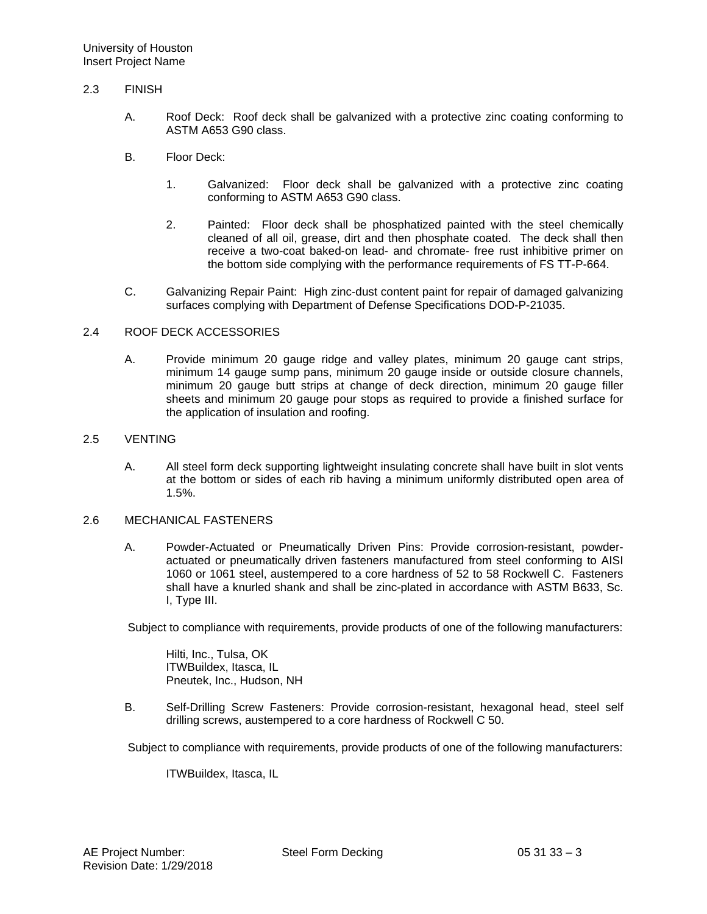## 2.3 FINISH

- A. Roof Deck: Roof deck shall be galvanized with a protective zinc coating conforming to ASTM A653 G90 class.
- B. Floor Deck:
	- 1. Galvanized: Floor deck shall be galvanized with a protective zinc coating conforming to ASTM A653 G90 class.
	- 2. Painted: Floor deck shall be phosphatized painted with the steel chemically cleaned of all oil, grease, dirt and then phosphate coated. The deck shall then receive a two-coat baked-on lead- and chromate- free rust inhibitive primer on the bottom side complying with the performance requirements of FS TT-P-664.
- C. Galvanizing Repair Paint: High zinc-dust content paint for repair of damaged galvanizing surfaces complying with Department of Defense Specifications DOD-P-21035.

#### 2.4 ROOF DECK ACCESSORIES

A. Provide minimum 20 gauge ridge and valley plates, minimum 20 gauge cant strips, minimum 14 gauge sump pans, minimum 20 gauge inside or outside closure channels, minimum 20 gauge butt strips at change of deck direction, minimum 20 gauge filler sheets and minimum 20 gauge pour stops as required to provide a finished surface for the application of insulation and roofing.

#### 2.5 VENTING

A. All steel form deck supporting lightweight insulating concrete shall have built in slot vents at the bottom or sides of each rib having a minimum uniformly distributed open area of 1.5%.

#### 2.6 MECHANICAL FASTENERS

A. Powder-Actuated or Pneumatically Driven Pins: Provide corrosion-resistant, powderactuated or pneumatically driven fasteners manufactured from steel conforming to AISI 1060 or 1061 steel, austempered to a core hardness of 52 to 58 Rockwell C. Fasteners shall have a knurled shank and shall be zinc-plated in accordance with ASTM B633, Sc. I, Type III.

Subject to compliance with requirements, provide products of one of the following manufacturers:

Hilti, Inc., Tulsa, OK ITWBuildex, Itasca, IL Pneutek, Inc., Hudson, NH

B. Self-Drilling Screw Fasteners: Provide corrosion-resistant, hexagonal head, steel self drilling screws, austempered to a core hardness of Rockwell C 50.

Subject to compliance with requirements, provide products of one of the following manufacturers:

ITWBuildex, Itasca, IL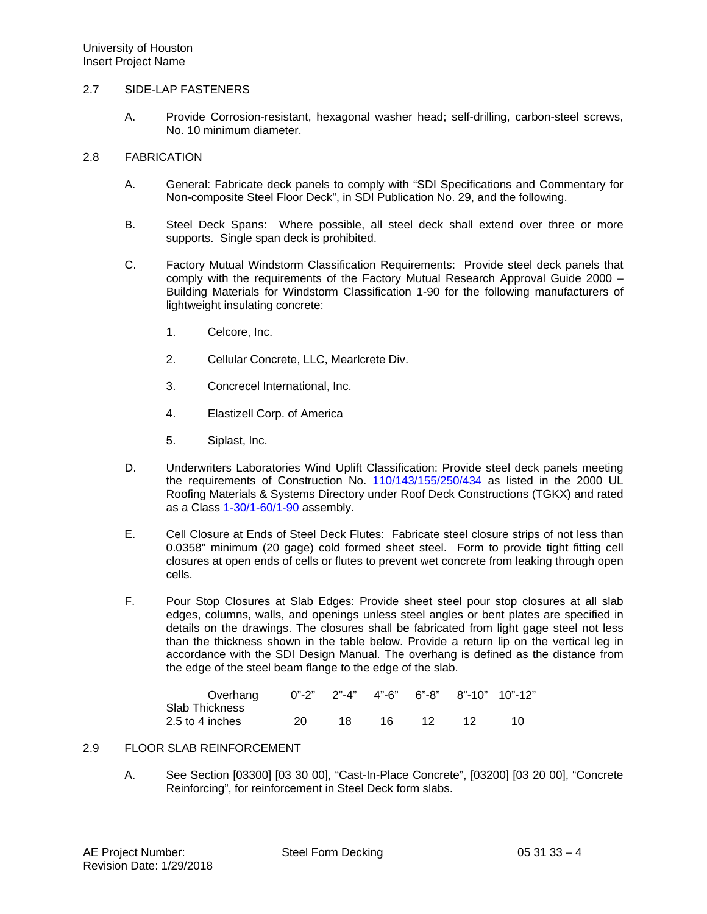#### 2.7 SIDE-LAP FASTENERS

A. Provide Corrosion-resistant, hexagonal washer head; self-drilling, carbon-steel screws, No. 10 minimum diameter.

#### 2.8 FABRICATION

- A. General: Fabricate deck panels to comply with "SDI Specifications and Commentary for Non-composite Steel Floor Deck", in SDI Publication No. 29, and the following.
- B. Steel Deck Spans: Where possible, all steel deck shall extend over three or more supports. Single span deck is prohibited.
- C. Factory Mutual Windstorm Classification Requirements: Provide steel deck panels that comply with the requirements of the Factory Mutual Research Approval Guide 2000 – Building Materials for Windstorm Classification 1-90 for the following manufacturers of lightweight insulating concrete:
	- 1. Celcore, Inc.
	- 2. Cellular Concrete, LLC, Mearlcrete Div.
	- 3. Concrecel International, Inc.
	- 4. Elastizell Corp. of America
	- 5. Siplast, Inc.
- D. Underwriters Laboratories Wind Uplift Classification: Provide steel deck panels meeting the requirements of Construction No. 110/143/155/250/434 as listed in the 2000 UL Roofing Materials & Systems Directory under Roof Deck Constructions (TGKX) and rated as a Class 1-30/1-60/1-90 assembly.
- E. Cell Closure at Ends of Steel Deck Flutes: Fabricate steel closure strips of not less than 0.0358" minimum (20 gage) cold formed sheet steel. Form to provide tight fitting cell closures at open ends of cells or flutes to prevent wet concrete from leaking through open cells.
- F. Pour Stop Closures at Slab Edges: Provide sheet steel pour stop closures at all slab edges, columns, walls, and openings unless steel angles or bent plates are specified in details on the drawings. The closures shall be fabricated from light gage steel not less than the thickness shown in the table below. Provide a return lip on the vertical leg in accordance with the SDI Design Manual. The overhang is defined as the distance from the edge of the steel beam flange to the edge of the slab.

| Overhang         |    |     |     |     | $0"$ -2" 2"-4" 4"-6" 6"-8" 8"-10" 10"-12" |  |
|------------------|----|-----|-----|-----|-------------------------------------------|--|
| Slab Thickness   |    |     |     |     |                                           |  |
| 2.5 to 4 inches_ | 20 | 18. | 16. | -12 |                                           |  |

## 2.9 FLOOR SLAB REINFORCEMENT

A. See Section [03300] [03 30 00], "Cast-In-Place Concrete", [03200] [03 20 00], "Concrete Reinforcing", for reinforcement in Steel Deck form slabs.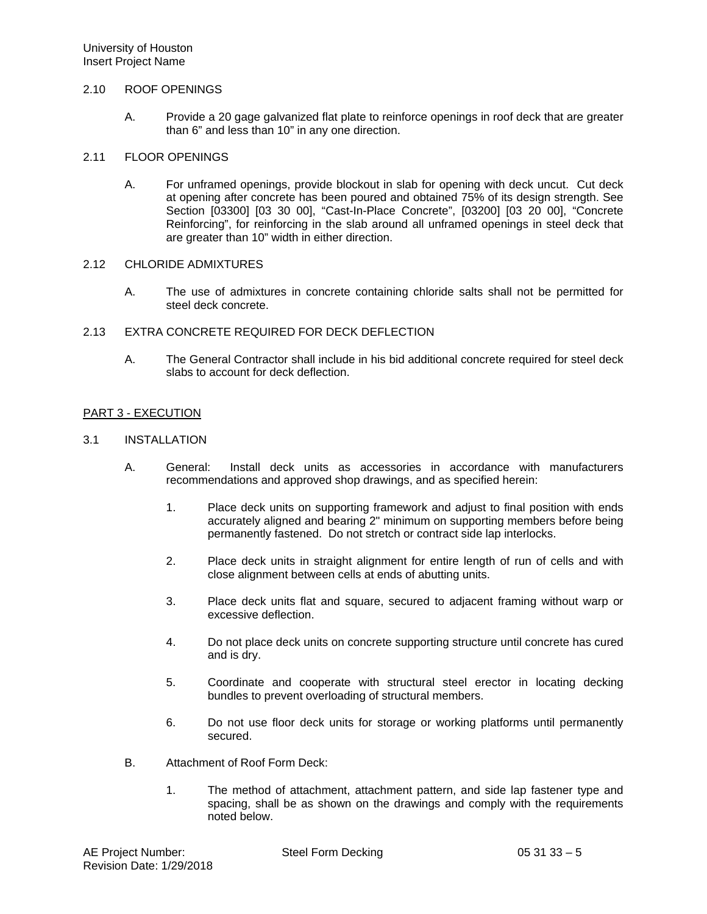## 2.10 ROOF OPENINGS

A. Provide a 20 gage galvanized flat plate to reinforce openings in roof deck that are greater than 6" and less than 10" in any one direction.

#### 2.11 FLOOR OPENINGS

A. For unframed openings, provide blockout in slab for opening with deck uncut. Cut deck at opening after concrete has been poured and obtained 75% of its design strength. See Section [03300] [03 30 00], "Cast-In-Place Concrete", [03200] [03 20 00], "Concrete Reinforcing", for reinforcing in the slab around all unframed openings in steel deck that are greater than 10" width in either direction.

#### 2.12 CHLORIDE ADMIXTURES

A. The use of admixtures in concrete containing chloride salts shall not be permitted for steel deck concrete.

## 2.13 EXTRA CONCRETE REQUIRED FOR DECK DEFLECTION

A. The General Contractor shall include in his bid additional concrete required for steel deck slabs to account for deck deflection.

### PART 3 - EXECUTION

#### 3.1 INSTALLATION

- A. General: Install deck units as accessories in accordance with manufacturers recommendations and approved shop drawings, and as specified herein:
	- 1. Place deck units on supporting framework and adjust to final position with ends accurately aligned and bearing 2" minimum on supporting members before being permanently fastened. Do not stretch or contract side lap interlocks.
	- 2. Place deck units in straight alignment for entire length of run of cells and with close alignment between cells at ends of abutting units.
	- 3. Place deck units flat and square, secured to adjacent framing without warp or excessive deflection.
	- 4. Do not place deck units on concrete supporting structure until concrete has cured and is dry.
	- 5. Coordinate and cooperate with structural steel erector in locating decking bundles to prevent overloading of structural members.
	- 6. Do not use floor deck units for storage or working platforms until permanently secured.
- B. Attachment of Roof Form Deck:
	- 1. The method of attachment, attachment pattern, and side lap fastener type and spacing, shall be as shown on the drawings and comply with the requirements noted below.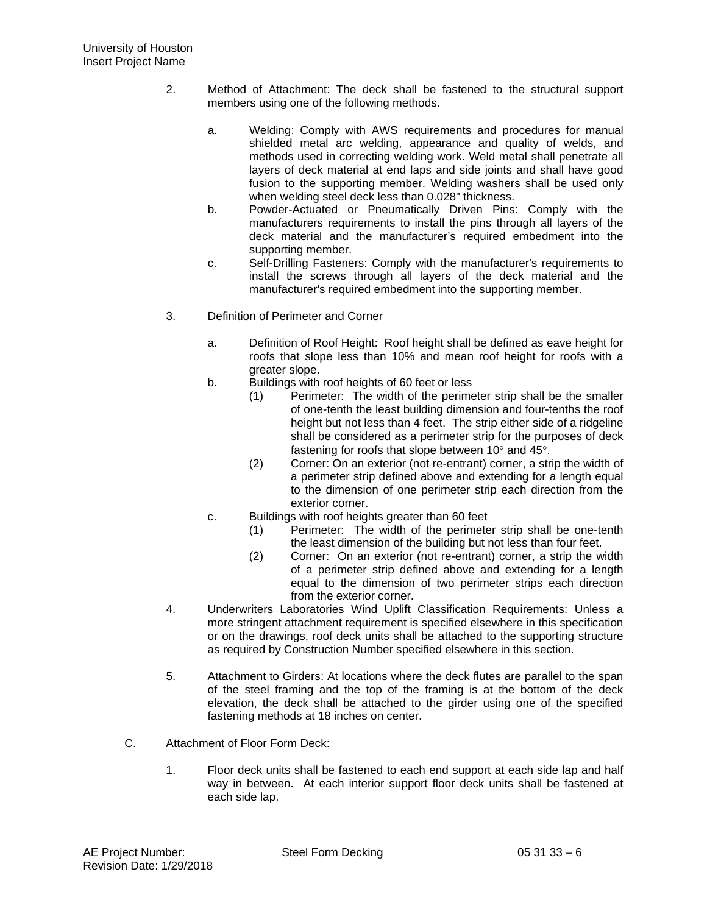- 2. Method of Attachment: The deck shall be fastened to the structural support members using one of the following methods.
	- a. Welding: Comply with AWS requirements and procedures for manual shielded metal arc welding, appearance and quality of welds, and methods used in correcting welding work. Weld metal shall penetrate all layers of deck material at end laps and side joints and shall have good fusion to the supporting member. Welding washers shall be used only when welding steel deck less than 0.028" thickness.
	- b. Powder-Actuated or Pneumatically Driven Pins: Comply with the manufacturers requirements to install the pins through all layers of the deck material and the manufacturer's required embedment into the supporting member.
	- c. Self-Drilling Fasteners: Comply with the manufacturer's requirements to install the screws through all layers of the deck material and the manufacturer's required embedment into the supporting member.
- 3. Definition of Perimeter and Corner
	- a. Definition of Roof Height: Roof height shall be defined as eave height for roofs that slope less than 10% and mean roof height for roofs with a greater slope.
	- b. Buildings with roof heights of 60 feet or less
		- (1) Perimeter: The width of the perimeter strip shall be the smaller of one-tenth the least building dimension and four-tenths the roof height but not less than 4 feet. The strip either side of a ridgeline shall be considered as a perimeter strip for the purposes of deck fastening for roofs that slope between 10° and 45°.
		- (2) Corner: On an exterior (not re-entrant) corner, a strip the width of a perimeter strip defined above and extending for a length equal to the dimension of one perimeter strip each direction from the exterior corner.
	- c. Buildings with roof heights greater than 60 feet
		- (1) Perimeter: The width of the perimeter strip shall be one-tenth the least dimension of the building but not less than four feet.
		- (2) Corner: On an exterior (not re-entrant) corner, a strip the width of a perimeter strip defined above and extending for a length equal to the dimension of two perimeter strips each direction from the exterior corner.
- 4. Underwriters Laboratories Wind Uplift Classification Requirements: Unless a more stringent attachment requirement is specified elsewhere in this specification or on the drawings, roof deck units shall be attached to the supporting structure as required by Construction Number specified elsewhere in this section.
- 5. Attachment to Girders: At locations where the deck flutes are parallel to the span of the steel framing and the top of the framing is at the bottom of the deck elevation, the deck shall be attached to the girder using one of the specified fastening methods at 18 inches on center.
- C. Attachment of Floor Form Deck:
	- 1. Floor deck units shall be fastened to each end support at each side lap and half way in between. At each interior support floor deck units shall be fastened at each side lap.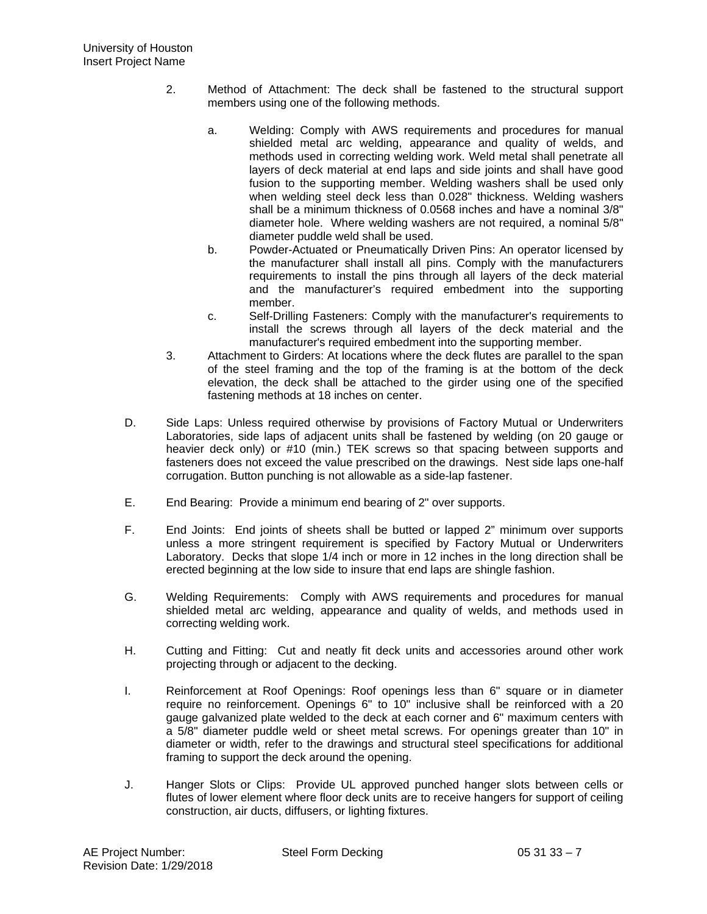- 2. Method of Attachment: The deck shall be fastened to the structural support members using one of the following methods.
	- a. Welding: Comply with AWS requirements and procedures for manual shielded metal arc welding, appearance and quality of welds, and methods used in correcting welding work. Weld metal shall penetrate all layers of deck material at end laps and side joints and shall have good fusion to the supporting member. Welding washers shall be used only when welding steel deck less than 0.028" thickness. Welding washers shall be a minimum thickness of 0.0568 inches and have a nominal 3/8" diameter hole. Where welding washers are not required, a nominal 5/8" diameter puddle weld shall be used.
	- b. Powder-Actuated or Pneumatically Driven Pins: An operator licensed by the manufacturer shall install all pins. Comply with the manufacturers requirements to install the pins through all layers of the deck material and the manufacturer's required embedment into the supporting member.
	- c. Self-Drilling Fasteners: Comply with the manufacturer's requirements to install the screws through all layers of the deck material and the manufacturer's required embedment into the supporting member.
- 3. Attachment to Girders: At locations where the deck flutes are parallel to the span of the steel framing and the top of the framing is at the bottom of the deck elevation, the deck shall be attached to the girder using one of the specified fastening methods at 18 inches on center.
- D. Side Laps: Unless required otherwise by provisions of Factory Mutual or Underwriters Laboratories, side laps of adjacent units shall be fastened by welding (on 20 gauge or heavier deck only) or #10 (min.) TEK screws so that spacing between supports and fasteners does not exceed the value prescribed on the drawings. Nest side laps one-half corrugation. Button punching is not allowable as a side-lap fastener.
- E. End Bearing: Provide a minimum end bearing of 2" over supports.
- F. End Joints: End joints of sheets shall be butted or lapped 2" minimum over supports unless a more stringent requirement is specified by Factory Mutual or Underwriters Laboratory. Decks that slope 1/4 inch or more in 12 inches in the long direction shall be erected beginning at the low side to insure that end laps are shingle fashion.
- G. Welding Requirements: Comply with AWS requirements and procedures for manual shielded metal arc welding, appearance and quality of welds, and methods used in correcting welding work.
- H. Cutting and Fitting: Cut and neatly fit deck units and accessories around other work projecting through or adjacent to the decking.
- I. Reinforcement at Roof Openings: Roof openings less than 6" square or in diameter require no reinforcement. Openings 6" to 10" inclusive shall be reinforced with a 20 gauge galvanized plate welded to the deck at each corner and 6" maximum centers with a 5/8" diameter puddle weld or sheet metal screws. For openings greater than 10" in diameter or width, refer to the drawings and structural steel specifications for additional framing to support the deck around the opening.
- J. Hanger Slots or Clips: Provide UL approved punched hanger slots between cells or flutes of lower element where floor deck units are to receive hangers for support of ceiling construction, air ducts, diffusers, or lighting fixtures.